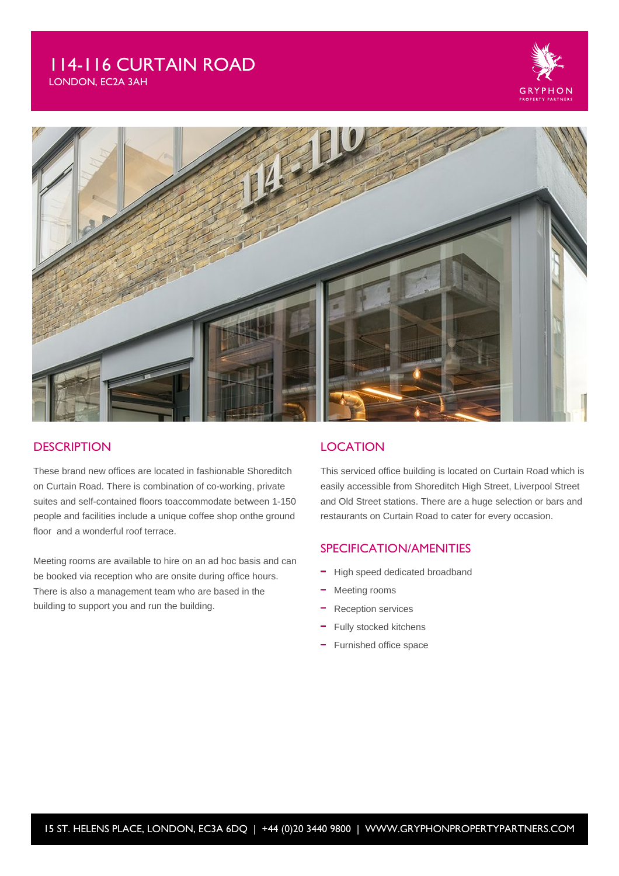# 114-116 CURTAIN ROAD

LONDON, EC2A 3AH





### **DESCRIPTION**

These brand new offices are located in fashionable Shoreditch on Curtain Road. There is combination of co-working, private suites and self-contained floors toaccommodate between 1-150 people and facilities include a unique coffee shop onthe ground floor and a wonderful roof terrace.

Meeting rooms are available to hire on an ad hoc basis and can be booked via reception who are onsite during office hours. There is also a management team who are based in the building to support you and run the building.

#### **LOCATION**

This serviced office building is located on Curtain Road which is easily accessible from Shoreditch High Street, Liverpool Street and Old Street stations. There are a huge selection or bars and restaurants on Curtain Road to cater for every occasion.

### SPECIFICATION/AMENITIES

- High speed dedicated broadband
- Meeting rooms
- Reception services
- Fully stocked kitchens
- Furnished office space